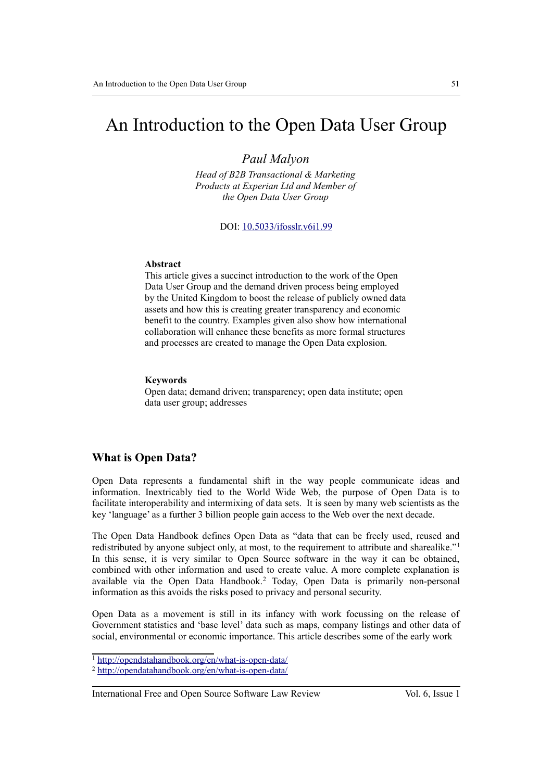# An Introduction to the Open Data User Group

### *Paul Malyon*

*Head of B2B Transactional & Marketing Products at Experian Ltd and Member of the Open Data User Group*

DOI: 10.5033/ifosslr.v6i1.99

#### **Abstract**

This article gives a succinct introduction to the work of the Open Data User Group and the demand driven process being employed by the United Kingdom to boost the release of publicly owned data assets and how this is creating greater transparency and economic benefit to the country. Examples given also show how international collaboration will enhance these benefits as more formal structures and processes are created to manage the Open Data explosion.

#### **Keywords**

Open data; demand driven; transparency; open data institute; open data user group; addresses

#### **What is Open Data?**

Open Data represents a fundamental shift in the way people communicate ideas and information. Inextricably tied to the World Wide Web, the purpose of Open Data is to facilitate interoperability and intermixing of data sets. It is seen by many web scientists as the key 'language' as a further 3 billion people gain access to the Web over the next decade.

The Open Data Handbook defines Open Data as "data that can be freely used, reused and redistributed by anyone subject only, at most, to the requirement to attribute and sharealike."[1](#page-0-0) In this sense, it is very similar to Open Source software in the way it can be obtained, combined with other information and used to create value. A more complete explanation is available via the Open Data Handbook.[2](#page-0-1) Today, Open Data is primarily non-personal information as this avoids the risks posed to privacy and personal security.

Open Data as a movement is still in its infancy with work focussing on the release of Government statistics and 'base level' data such as maps, company listings and other data of social, environmental or economic importance. This article describes some of the early work

<span id="page-0-0"></span><sup>1</sup> <http://opendatahandbook.org/en/what-is-open-data/>

<span id="page-0-1"></span><sup>2</sup> <http://opendatahandbook.org/en/what-is-open-data/>

International Free and Open Source Software Law Review Vol. 6, Issue 1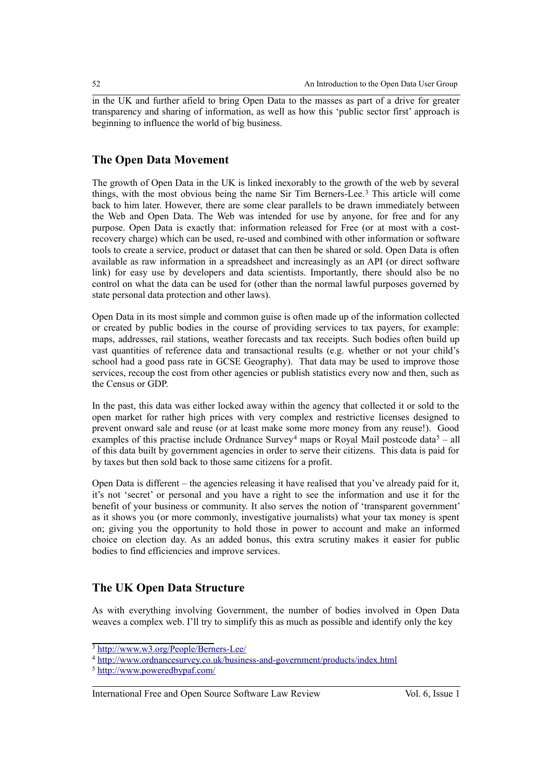in the UK and further afield to bring Open Data to the masses as part of a drive for greater transparency and sharing of information, as well as how this 'public sector first' approach is beginning to influence the world of big business.

### **The Open Data Movement**

The growth of Open Data in the UK is linked inexorably to the growth of the web by several things, with the most obvious being the name Sir Tim Berners-Lee.<sup>[3](#page-1-0)</sup> This article will come back to him later. However, there are some clear parallels to be drawn immediately between the Web and Open Data. The Web was intended for use by anyone, for free and for any purpose. Open Data is exactly that: information released for Free (or at most with a costrecovery charge) which can be used, re-used and combined with other information or software tools to create a service, product or dataset that can then be shared or sold. Open Data is often available as raw information in a spreadsheet and increasingly as an API (or direct software link) for easy use by developers and data scientists. Importantly, there should also be no control on what the data can be used for (other than the normal lawful purposes governed by state personal data protection and other laws).

Open Data in its most simple and common guise is often made up of the information collected or created by public bodies in the course of providing services to tax payers, for example: maps, addresses, rail stations, weather forecasts and tax receipts. Such bodies often build up vast quantities of reference data and transactional results (e.g. whether or not your child's school had a good pass rate in GCSE Geography). That data may be used to improve those services, recoup the cost from other agencies or publish statistics every now and then, such as the Census or GDP.

In the past, this data was either locked away within the agency that collected it or sold to the open market for rather high prices with very complex and restrictive licenses designed to prevent onward sale and reuse (or at least make some more money from any reuse!). Good examples of this practise include Ordnance Survey<sup>[4](#page-1-1)</sup> maps or Royal Mail postcode data<sup>[5](#page-1-2)</sup> – all of this data built by government agencies in order to serve their citizens. This data is paid for by taxes but then sold back to those same citizens for a profit.

Open Data is different – the agencies releasing it have realised that you've already paid for it, it's not 'secret' or personal and you have a right to see the information and use it for the benefit of your business or community. It also serves the notion of 'transparent government' as it shows you (or more commonly, investigative journalists) what your tax money is spent on; giving you the opportunity to hold those in power to account and make an informed choice on election day. As an added bonus, this extra scrutiny makes it easier for public bodies to find efficiencies and improve services.

### **The UK Open Data Structure**

As with everything involving Government, the number of bodies involved in Open Data weaves a complex web. I'll try to simplify this as much as possible and identify only the key

<span id="page-1-0"></span><sup>3</sup> <http://www.w3.org/People/Berners-Lee/>

<span id="page-1-1"></span><sup>&</sup>lt;sup>4</sup><http://www.ordnancesurvey.co.uk/business-and-government/products/index.html>

<span id="page-1-2"></span><sup>5</sup> <http://www.poweredbypaf.com/>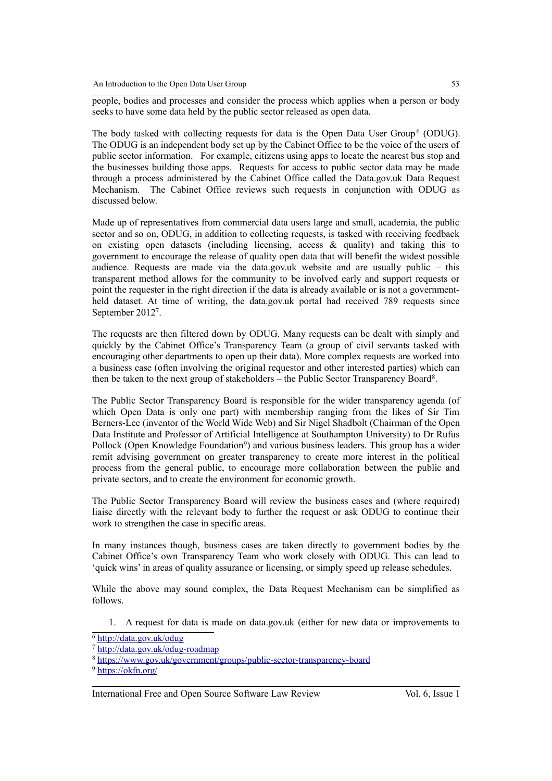people, bodies and processes and consider the process which applies when a person or body seeks to have some data held by the public sector released as open data.

The body tasked with collecting requests for data is the Open Data User Group<sup>[6](#page-2-0)</sup> (ODUG). The ODUG is an independent body set up by the Cabinet Office to be the voice of the users of public sector information. For example, citizens using apps to locate the nearest bus stop and the businesses building those apps. Requests for access to public sector data may be made through a process administered by the Cabinet Office called the Data.gov.uk Data Request Mechanism. The Cabinet Office reviews such requests in conjunction with ODUG as discussed below.

Made up of representatives from commercial data users large and small, academia, the public sector and so on, ODUG, in addition to collecting requests, is tasked with receiving feedback on existing open datasets (including licensing, access & quality) and taking this to government to encourage the release of quality open data that will benefit the widest possible audience. Requests are made via the data.gov.uk website and are usually public – this transparent method allows for the community to be involved early and support requests or point the requester in the right direction if the data is already available or is not a governmentheld dataset. At time of writing, the data.gov.uk portal had received 789 requests since September 2012[7](#page-2-1) .

The requests are then filtered down by ODUG. Many requests can be dealt with simply and quickly by the Cabinet Office's Transparency Team (a group of civil servants tasked with encouraging other departments to open up their data). More complex requests are worked into a business case (often involving the original requestor and other interested parties) which can then be taken to the next group of stakeholders – the Public Sector Transparency Board<sup>[8](#page-2-2)</sup>.

The Public Sector Transparency Board is responsible for the wider transparency agenda (of which Open Data is only one part) with membership ranging from the likes of Sir Tim Berners-Lee (inventor of the World Wide Web) and Sir Nigel Shadbolt (Chairman of the Open Data Institute and Professor of Artificial Intelligence at Southampton University) to Dr Rufus Pollock (Open Knowledge Foundation<sup>[9](#page-2-3)</sup>) and various business leaders. This group has a wider remit advising government on greater transparency to create more interest in the political process from the general public, to encourage more collaboration between the public and private sectors, and to create the environment for economic growth.

The Public Sector Transparency Board will review the business cases and (where required) liaise directly with the relevant body to further the request or ask ODUG to continue their work to strengthen the case in specific areas.

In many instances though, business cases are taken directly to government bodies by the Cabinet Office's own Transparency Team who work closely with ODUG. This can lead to 'quick wins' in areas of quality assurance or licensing, or simply speed up release schedules.

While the above may sound complex, the Data Request Mechanism can be simplified as follows.

1. A request for data is made on data.gov.uk (either for new data or improvements to

<span id="page-2-0"></span><sup>6</sup> <http://data.gov.uk/odug>

<span id="page-2-1"></span><sup>7</sup> <http://data.gov.uk/odug-roadmap>

<span id="page-2-2"></span><sup>8</sup> https://www.gov.uk/government/groups/public-sector-transparency-board

<span id="page-2-3"></span><sup>9</sup> <https://okfn.org/>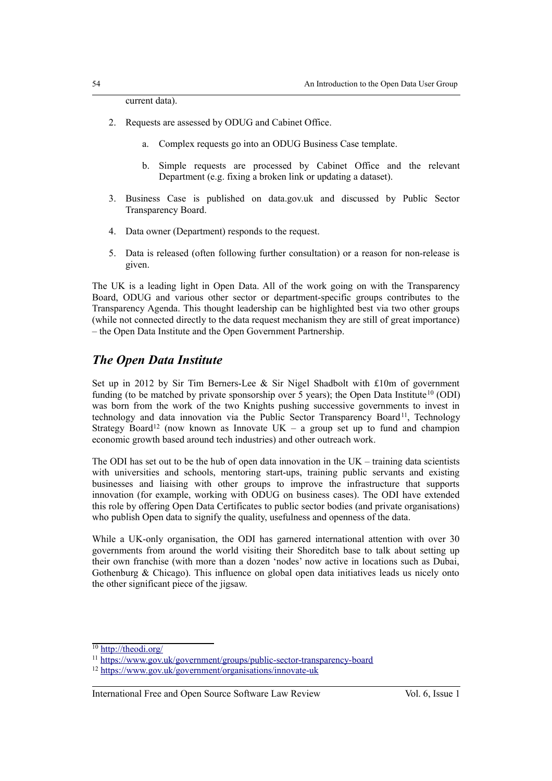current data).

- 2. Requests are assessed by ODUG and Cabinet Office.
	- a. Complex requests go into an ODUG Business Case template.
	- b. Simple requests are processed by Cabinet Office and the relevant Department (e.g. fixing a broken link or updating a dataset).
- 3. Business Case is published on data.gov.uk and discussed by Public Sector Transparency Board.
- 4. Data owner (Department) responds to the request.
- 5. Data is released (often following further consultation) or a reason for non-release is given.

The UK is a leading light in Open Data. All of the work going on with the Transparency Board, ODUG and various other sector or department-specific groups contributes to the Transparency Agenda. This thought leadership can be highlighted best via two other groups (while not connected directly to the data request mechanism they are still of great importance) – the Open Data Institute and the Open Government Partnership.

### *The Open Data Institute*

Set up in 2012 by Sir Tim Berners-Lee & Sir Nigel Shadbolt with £10m of government funding (to be matched by private sponsorship over  $5$  years); the Open Data Institute<sup>[10](#page-3-0)</sup> (ODI) was born from the work of the two Knights pushing successive governments to invest in technology and data innovation via the Public Sector Transparency Board<sup>[11](#page-3-1)</sup>, Technology Strategy Board<sup>[12](#page-3-2)</sup> (now known as Innovate UK – a group set up to fund and champion economic growth based around tech industries) and other outreach work.

The ODI has set out to be the hub of open data innovation in the  $UK - training$  data scientists with universities and schools, mentoring start-ups, training public servants and existing businesses and liaising with other groups to improve the infrastructure that supports innovation (for example, working with ODUG on business cases). The ODI have extended this role by offering Open Data Certificates to public sector bodies (and private organisations) who publish Open data to signify the quality, usefulness and openness of the data.

While a UK-only organisation, the ODI has garnered international attention with over 30 governments from around the world visiting their Shoreditch base to talk about setting up their own franchise (with more than a dozen 'nodes' now active in locations such as Dubai, Gothenburg & Chicago). This influence on global open data initiatives leads us nicely onto the other significant piece of the jigsaw.

<span id="page-3-0"></span><sup>&</sup>lt;sup>10</sup><http://theodi.org/>

<span id="page-3-1"></span><sup>11</sup> <https://www.gov.uk/government/groups/public-sector-transparency-board>

<span id="page-3-2"></span><sup>12</sup> <https://www.gov.uk/government/organisations/innovate-uk>

International Free and Open Source Software Law Review Vol. 6, Issue 1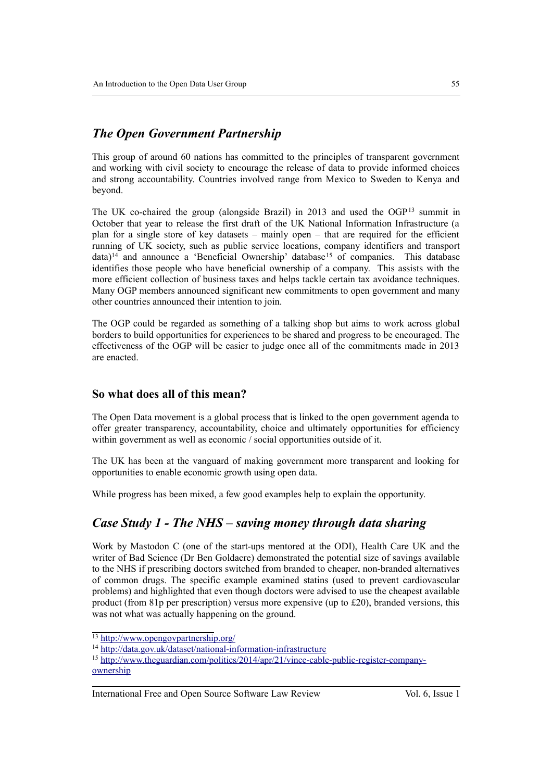# *The Open Government Partnership*

This group of around 60 nations has committed to the principles of transparent government and working with civil society to encourage the release of data to provide informed choices and strong accountability. Countries involved range from Mexico to Sweden to Kenya and beyond.

The UK co-chaired the group (alongside Brazil) in 2013 and used the OGP[13](#page-4-0) summit in October that year to release the first draft of the UK National Information Infrastructure (a plan for a single store of key datasets – mainly open – that are required for the efficient running of UK society, such as public service locations, company identifiers and transport data)<sup>[14](#page-4-1)</sup> and announce a 'Beneficial Ownership' database<sup>[15](#page-4-2)</sup> of companies. This database identifies those people who have beneficial ownership of a company. This assists with the more efficient collection of business taxes and helps tackle certain tax avoidance techniques. Many OGP members announced significant new commitments to open government and many other countries announced their intention to join.

The OGP could be regarded as something of a talking shop but aims to work across global borders to build opportunities for experiences to be shared and progress to be encouraged. The effectiveness of the OGP will be easier to judge once all of the commitments made in 2013 are enacted.

### **So what does all of this mean?**

The Open Data movement is a global process that is linked to the open government agenda to offer greater transparency, accountability, choice and ultimately opportunities for efficiency within government as well as economic / social opportunities outside of it.

The UK has been at the vanguard of making government more transparent and looking for opportunities to enable economic growth using open data.

While progress has been mixed, a few good examples help to explain the opportunity.

### *Case Study 1 - The NHS – saving money through data sharing*

Work by Mastodon C (one of the start-ups mentored at the ODI), Health Care UK and the writer of Bad Science (Dr Ben Goldacre) demonstrated the potential size of savings available to the NHS if prescribing doctors switched from branded to cheaper, non-branded alternatives of common drugs. The specific example examined statins (used to prevent cardiovascular problems) and highlighted that even though doctors were advised to use the cheapest available product (from 81p per prescription) versus more expensive (up to £20), branded versions, this was not what was actually happening on the ground.

<span id="page-4-0"></span><sup>13</sup> <http://www.opengovpartnership.org/>

<span id="page-4-1"></span><sup>&</sup>lt;sup>14</sup><http://data.gov.uk/dataset/national-information-infrastructure>

<span id="page-4-2"></span><sup>&</sup>lt;sup>15</sup> [http://www.theguardian.com/politics/2014/apr/21/vince-cable-public-register-company](http://www.theguardian.com/politics/2014/apr/21/vince-cable-public-register-company-ownership)[ownership](http://www.theguardian.com/politics/2014/apr/21/vince-cable-public-register-company-ownership)

International Free and Open Source Software Law Review Vol. 6, Issue 1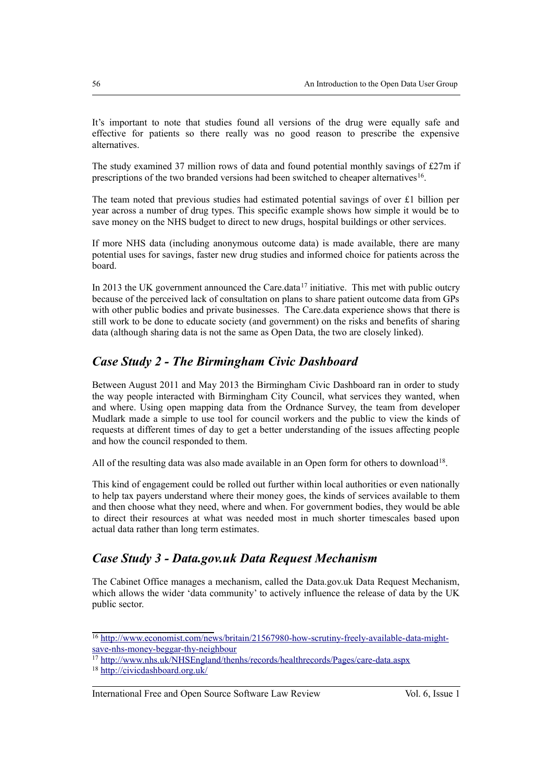It's important to note that studies found all versions of the drug were equally safe and effective for patients so there really was no good reason to prescribe the expensive alternatives.

The study examined 37 million rows of data and found potential monthly savings of £27m if prescriptions of the two branded versions had been switched to cheaper alternatives<sup>[16](#page-5-0)</sup>.

The team noted that previous studies had estimated potential savings of over £1 billion per year across a number of drug types. This specific example shows how simple it would be to save money on the NHS budget to direct to new drugs, hospital buildings or other services.

If more NHS data (including anonymous outcome data) is made available, there are many potential uses for savings, faster new drug studies and informed choice for patients across the board.

In 2013 the UK government announced the Care.data<sup>[17](#page-5-1)</sup> initiative. This met with public outcry because of the perceived lack of consultation on plans to share patient outcome data from GPs with other public bodies and private businesses. The Care.data experience shows that there is still work to be done to educate society (and government) on the risks and benefits of sharing data (although sharing data is not the same as Open Data, the two are closely linked).

# *Case Study 2 - The Birmingham Civic Dashboard*

Between August 2011 and May 2013 the Birmingham Civic Dashboard ran in order to study the way people interacted with Birmingham City Council, what services they wanted, when and where. Using open mapping data from the Ordnance Survey, the team from developer Mudlark made a simple to use tool for council workers and the public to view the kinds of requests at different times of day to get a better understanding of the issues affecting people and how the council responded to them.

All of the resulting data was also made available in an Open form for others to download<sup>[18](#page-5-2)</sup>.

This kind of engagement could be rolled out further within local authorities or even nationally to help tax payers understand where their money goes, the kinds of services available to them and then choose what they need, where and when. For government bodies, they would be able to direct their resources at what was needed most in much shorter timescales based upon actual data rather than long term estimates.

# *Case Study 3 - Data.gov.uk Data Request Mechanism*

The Cabinet Office manages a mechanism, called the Data.gov.uk Data Request Mechanism, which allows the wider 'data community' to actively influence the release of data by the UK public sector.

<span id="page-5-0"></span><sup>&</sup>lt;sup>16</sup> http://www.economist.com/news/britain/21567980-how-scrutiny-freely-available-data-might[save-nhs-money-beggar-thy-neighbour](http://www.economist.com/news/britain/21567980-how-scrutiny-freely-available-data-might-save-nhs-money-beggar-thy-neighbour)

<span id="page-5-1"></span><sup>17</sup> <http://www.nhs.uk/NHSEngland/thenhs/records/healthrecords/Pages/care-data.aspx>

<span id="page-5-2"></span><sup>18</sup> <http://civicdashboard.org.uk/>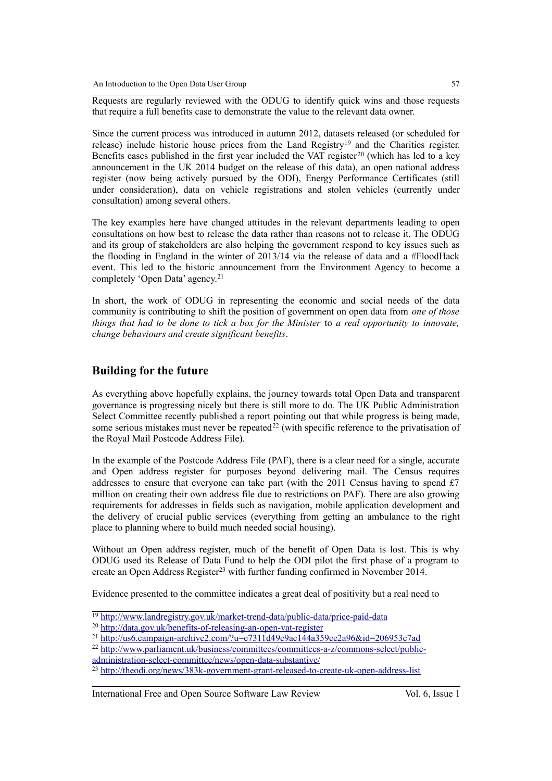Requests are regularly reviewed with the ODUG to identify quick wins and those requests that require a full benefits case to demonstrate the value to the relevant data owner.

Since the current process was introduced in autumn 2012, datasets released (or scheduled for release) include historic house prices from the Land Registry<sup>[19](#page-6-0)</sup> and the Charities register. Benefits cases published in the first year included the VAT register<sup>[20](#page-6-1)</sup> (which has led to a key announcement in the UK 2014 budget on the release of this data), an open national address register (now being actively pursued by the ODI), Energy Performance Certificates (still under consideration), data on vehicle registrations and stolen vehicles (currently under consultation) among several others.

The key examples here have changed attitudes in the relevant departments leading to open consultations on how best to release the data rather than reasons not to release it. The ODUG and its group of stakeholders are also helping the government respond to key issues such as the flooding in England in the winter of 2013/14 via the release of data and a #FloodHack event. This led to the historic announcement from the Environment Agency to become a completely 'Open Data' agency.[21](#page-6-2)

In short, the work of ODUG in representing the economic and social needs of the data community is contributing to shift the position of government on open data from *one of those things that had to be done to tick a box for the Minister* to *a real opportunity to innovate, change behaviours and create significant benefits*.

### **Building for the future**

As everything above hopefully explains, the journey towards total Open Data and transparent governance is progressing nicely but there is still more to do. The UK Public Administration Select Committee recently published a report pointing out that while progress is being made, some serious mistakes must never be repeated<sup>[22](#page-6-3)</sup> (with specific reference to the privatisation of the Royal Mail Postcode Address File).

In the example of the Postcode Address File (PAF), there is a clear need for a single, accurate and Open address register for purposes beyond delivering mail. The Census requires addresses to ensure that everyone can take part (with the 2011 Census having to spend £7 million on creating their own address file due to restrictions on PAF). There are also growing requirements for addresses in fields such as navigation, mobile application development and the delivery of crucial public services (everything from getting an ambulance to the right place to planning where to build much needed social housing).

Without an Open address register, much of the benefit of Open Data is lost. This is why ODUG used its Release of Data Fund to help the ODI pilot the first phase of a program to create an Open Address Register<sup>[23](#page-6-4)</sup> with further funding confirmed in November 2014.

Evidence presented to the committee indicates a great deal of positivity but a real need to

<span id="page-6-0"></span><sup>&</sup>lt;sup>19</sup><http://www.landregistry.gov.uk/market-trend-data/public-data/price-paid-data>

<span id="page-6-1"></span><sup>&</sup>lt;sup>20</sup> http://data.gov.uk/benefits-of-releasing-an-open-vat-register

<span id="page-6-2"></span><sup>&</sup>lt;sup>21</sup> http://us6.campaign-archive2.com/?u=e7311d49e9ac144a359ee2a96&id=206953c7ad

<span id="page-6-3"></span><sup>&</sup>lt;sup>22</sup> [http://www.parliament.uk/business/committees/committees-a-z/commons-select/public](http://www.parliament.uk/business/committees/committees-a-z/commons-select/public-administration-select-committee/news/open-data-substantive/)  [administration-select-committee/news/open-data-substantive/](http://www.parliament.uk/business/committees/committees-a-z/commons-select/public-administration-select-committee/news/open-data-substantive/)

<span id="page-6-4"></span><sup>&</sup>lt;sup>23</sup> <http://theodi.org/news/383k-government-grant-released-to-create-uk-open-address-list>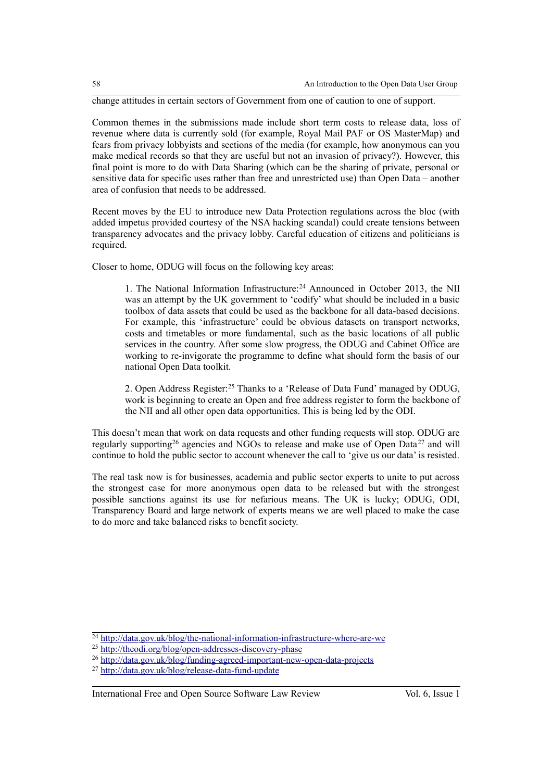change attitudes in certain sectors of Government from one of caution to one of support.

Common themes in the submissions made include short term costs to release data, loss of revenue where data is currently sold (for example, Royal Mail PAF or OS MasterMap) and fears from privacy lobbyists and sections of the media (for example, how anonymous can you make medical records so that they are useful but not an invasion of privacy?). However, this final point is more to do with Data Sharing (which can be the sharing of private, personal or sensitive data for specific uses rather than free and unrestricted use) than Open Data – another area of confusion that needs to be addressed.

Recent moves by the EU to introduce new Data Protection regulations across the bloc (with added impetus provided courtesy of the NSA hacking scandal) could create tensions between transparency advocates and the privacy lobby. Careful education of citizens and politicians is required.

Closer to home, ODUG will focus on the following key areas:

1. The National Information Infrastructure:[24](#page-7-0) Announced in October 2013, the NII was an attempt by the UK government to 'codify' what should be included in a basic toolbox of data assets that could be used as the backbone for all data-based decisions. For example, this 'infrastructure' could be obvious datasets on transport networks, costs and timetables or more fundamental, such as the basic locations of all public services in the country. After some slow progress, the ODUG and Cabinet Office are working to re-invigorate the programme to define what should form the basis of our national Open Data toolkit.

2. Open Address Register:[25](#page-7-1) Thanks to a 'Release of Data Fund' managed by ODUG, work is beginning to create an Open and free address register to form the backbone of the NII and all other open data opportunities. This is being led by the ODI.

This doesn't mean that work on data requests and other funding requests will stop. ODUG are regularly supporting[26](#page-7-2) agencies and NGOs to release and make use of Open Data [27](#page-7-3) and will continue to hold the public sector to account whenever the call to 'give us our data' is resisted.

The real task now is for businesses, academia and public sector experts to unite to put across the strongest case for more anonymous open data to be released but with the strongest possible sanctions against its use for nefarious means. The UK is lucky; ODUG, ODI, Transparency Board and large network of experts means we are well placed to make the case to do more and take balanced risks to benefit society.

<span id="page-7-0"></span><sup>&</sup>lt;sup>24</sup> http://data.gov.uk/blog/the-national-information-infrastructure-where-are-we

<span id="page-7-1"></span><sup>&</sup>lt;sup>25</sup><http://theodi.org/blog/open-addresses-discovery-phase>

<span id="page-7-2"></span><sup>26</sup> <http://data.gov.uk/blog/funding-agreed-important-new-open-data-projects>

<span id="page-7-3"></span><sup>27</sup> <http://data.gov.uk/blog/release-data-fund-update>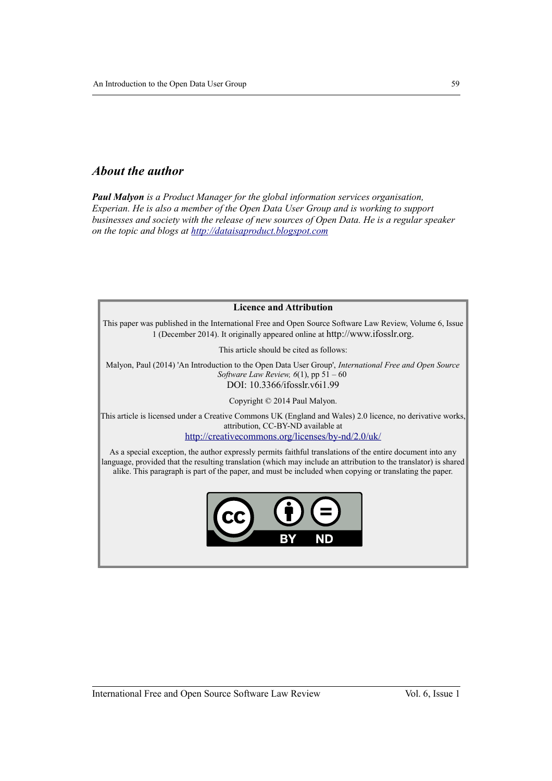## *About the author*

*Paul Malyon is a Product Manager for the global information services organisation, Experian. He is also a member of the Open Data User Group and is working to support businesses and society with the release of new sources of Open Data. He is a regular speaker on the topic and blogs at [http://dataisaproduct.blogspot.com](http://dataisaproduct.blogspot.com/)*